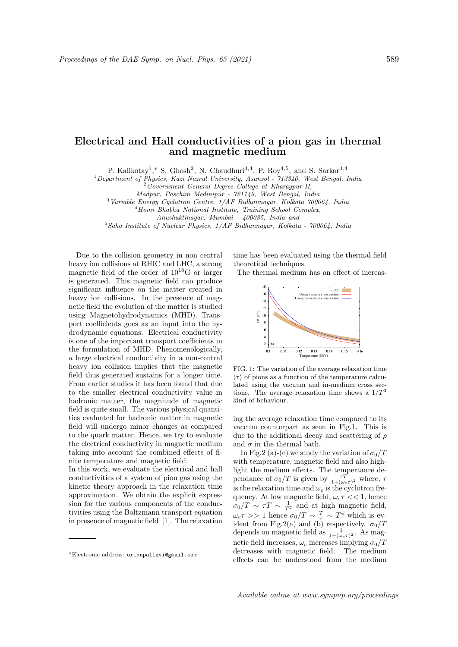## Electrical and Hall conductivities of a pion gas in thermal and magnetic medium

P. Kalikotay<sup>1</sup>,\* S. Ghosh<sup>2</sup>, N. Chaudhuri<sup>3,4</sup>, P. Roy<sup>4,5</sup>, and S. Sarkar<sup>3,4</sup>

<sup>1</sup>Department of Physics, Kazi Nazrul University, Asansol - 713340, West Bengal, India

<sup>2</sup>Government General Degree College at Kharagpur-II,

Madpur, Paschim Medinipur - 721149, West Bengal, India

 $3$ Variable Energy Cyclotron Centre,  $1/AF$  Bidhannagar, Kolkata 700064, India

<sup>4</sup>Homi Bhabha National Institute, Training School Complex,

Anushaktinagar, Mumbai - 400085, India and

 $5$ Saha Institute of Nuclear Physics,  $1/AF$  Bidhannagar, Kolkata - 700064, India

Due to the collision geometry in non central heavy ion collisions at RHIC and LHC, a strong magnetic field of the order of  $10^{18}$ G or larger is generated. This magnetic field can produce significant influence on the matter created in heavy ion collisions. In the presence of magnetic field the evolution of the matter is studied using Magnetohydrodynamics (MHD). Transport coefficients goes as an input into the hydrodynamic equations. Electrical conductivity is one of the important transport coefficients in the formulation of MHD. Phenomenologically, a large electrical conductivity in a non-central heavy ion collision implies that the magnetic field thus generated sustains for a longer time. From earlier studies it has been found that due to the smaller electrical conductivity value in hadronic matter, the magnitude of magnetic field is quite small. The various physical quantities evaluated for hadronic matter in magnetic field will undergo minor changes as compared to the quark matter. Hence, we try to evaluate the electrical conductivity in magnetic medium taking into account the combined effects of finite temperature and magnetic field.

In this work, we evaluate the electrical and hall conductivities of a system of pion gas using the kinetic theory approach in the relaxation time approximation. We obtain the explicit expression for the various components of the conductivities using the Boltzmann transport equation in presence of magnetic field [1]. The relaxation time has been evaluated using the thermal field theoretical techniques.

The thermal medium has an effect of increas-



FIG. 1: The variation of the average relaxation time  $\langle \tau \rangle$  of pions as a function of the temperature calculated using the vacuum and in-medium cross sections. The average relaxation time shows a  $1/T^3$ kind of behaviour.

ing the average relaxation time compared to its vaccum counterpart as seen in Fig.1. This is due to the additional decay and scattering of  $\rho$ and  $\sigma$  in the thermal bath.

In Fig.2 (a)-(c) we study the variation of  $\sigma_0/T$ with temperature, magnetic field and also highlight the medium effects. The tempertaure dependance of  $\sigma_0/T$  is given by  $\frac{\tau T}{1+(\omega_c \tau)^2}$  where,  $\tau$ is the relaxation time and  $\omega_c$  is the cyclotron frequency. At low magnetic field,  $\omega_c \tau \ll 1$ , hence  $\sigma_0/T \sim \tau T \sim \frac{1}{T^2}$  and at high magnetic field,  $\omega_c \tau >> 1$  hence  $\sigma_0/T \sim \frac{T}{\tau} \sim T^4$  which is evident from Fig.2(a) and (b) respectively.  $\sigma_0/T$ depends on magnetic field as  $\frac{1}{1+(\omega_c\tau)^2}$ . As magnetic field increases,  $\omega_c$  increases implying  $\sigma_0/T$ decreases with magnetic field. The medium effects can be understood from the medium

<sup>∗</sup>Electronic address: orionpallavi@gmail.com